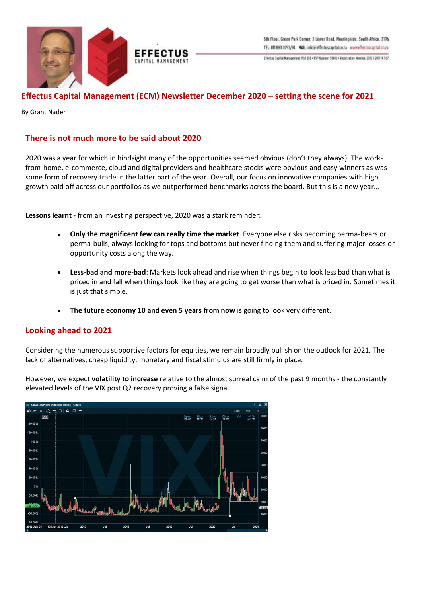



# **Effectus Capital Management (ECM) Newsletter December 2020 – setting the scene for 2021**

**EFFECTUS** 

By Grant Nader

### **There is not much more to be said about 2020**

2020 was a year for which in hindsight many of the opportunities seemed obvious (don't they always). The workfrom-home, e-commerce, cloud and digital providers and healthcare stocks were obvious and easy winners as was some form of recovery trade in the latter part of the year. Overall, our focus on innovative companies with high growth paid off across our portfolios as we outperformed benchmarks across the board. But this is a new year…

**Lessons learnt -** from an investing perspective, 2020 was a stark reminder:

- **Only the magnificent few can really time the market**. Everyone else risks becoming perma-bears or perma-bulls, always looking for tops and bottoms but never finding them and suffering major losses or opportunity costs along the way.
- **Less-bad and more-bad**: Markets look ahead and rise when things begin to look less bad than what is priced in and fall when things look like they are going to get worse than what is priced in. Sometimes it is just that simple.
- **The future economy 10 and even 5 years from now** is going to look very different.

### **Looking ahead to 2021**

Considering the numerous supportive factors for equities, we remain broadly bullish on the outlook for 2021. The lack of alternatives, cheap liquidity, monetary and fiscal stimulus are still firmly in place.

However, we expect **volatility to increase** relative to the almost surreal calm of the past 9 months - the constantly elevated levels of the VIX post Q2 recovery proving a false signal.

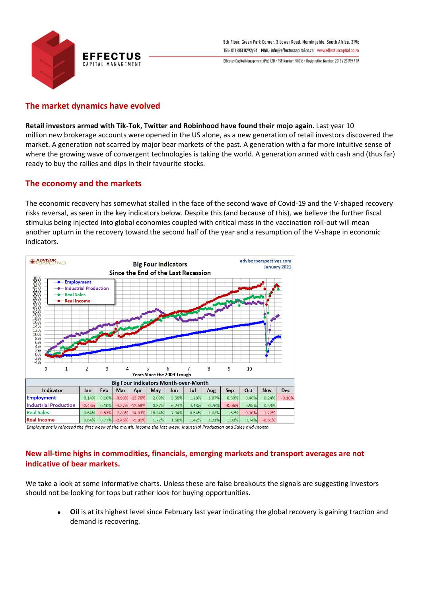

# **The market dynamics have evolved**

**Retail investors armed with Tik-Tok, Twitter and Robinhood have found their mojo again**. Last year 10 million new brokerage accounts were opened in the US alone, as a new generation of retail investors discovered the market. A generation not scarred by major bear markets of the past. A generation with a far more intuitive sense of where the growing wave of convergent technologies is taking the world. A generation armed with cash and (thus far) ready to buy the rallies and dips in their favourite stocks.

### **The economy and the markets**

The economic recovery has somewhat stalled in the face of the second wave of Covid-19 and the V-shaped recovery risks reversal, as seen in the key indicators below. Despite this (and because of this), we believe the further fiscal stimulus being injected into global economies coupled with critical mass in the vaccination roll-out will mean another upturn in the recovery toward the second half of the year and a resumption of the V-shape in economic indicators.



Employment is released the first week of the month, Income the last week, Industrial Production and Sales mid-month.

# **New all-time highs in commodities, financials, emerging markets and transport averages are not indicative of bear markets.**

We take a look at some informative charts. Unless these are false breakouts the signals are suggesting investors should not be looking for tops but rather look for buying opportunities.

• **Oil** is at its highest level since February last year indicating the global recovery is gaining traction and demand is recovering.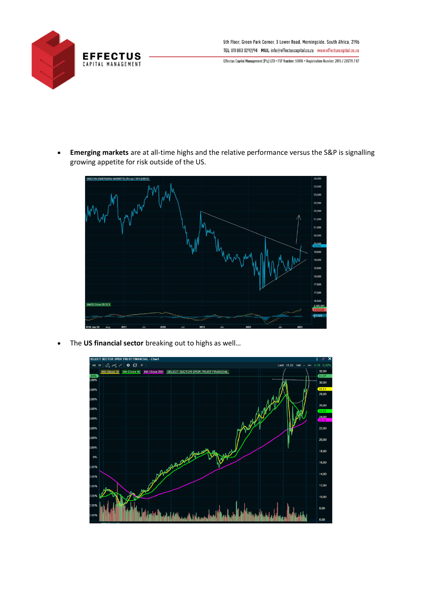

5th Floor, Green Park Corner, 3 Lower Road, Morningside, South Africa, 2196 TEL: 011 883 0292/94 MAIL: info@effectuscapital.co.za www.effectuscaptial.co.za

Effectus Capital Management (Pty) LTD • FSP Number: 50016 • Registration Number: 2015 / 281719 / 07

• **Emerging markets** are at all-time highs and the relative performance versus the S&P is signalling growing appetite for risk outside of the US.



• The **US financial sector** breaking out to highs as well…

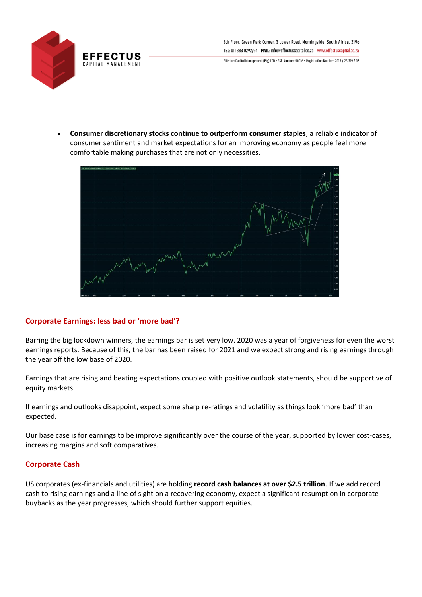

• **Consumer discretionary stocks continue to outperform consumer staples**, a reliable indicator of consumer sentiment and market expectations for an improving economy as people feel more comfortable making purchases that are not only necessities.



# **Corporate Earnings: less bad or 'more bad'?**

Barring the big lockdown winners, the earnings bar is set very low. 2020 was a year of forgiveness for even the worst earnings reports. Because of this, the bar has been raised for 2021 and we expect strong and rising earnings through the year off the low base of 2020.

Earnings that are rising and beating expectations coupled with positive outlook statements, should be supportive of equity markets.

If earnings and outlooks disappoint, expect some sharp re-ratings and volatility as things look 'more bad' than expected.

Our base case is for earnings to be improve significantly over the course of the year, supported by lower cost-cases, increasing margins and soft comparatives.

### **Corporate Cash**

US corporates (ex-financials and utilities) are holding **record cash balances at over \$2.5 trillion**. If we add record cash to rising earnings and a line of sight on a recovering economy, expect a significant resumption in corporate buybacks as the year progresses, which should further support equities.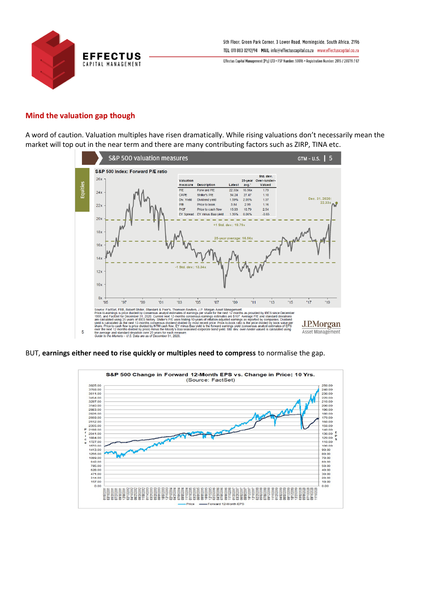

#### **Mind the valuation gap though**

A word of caution. Valuation multiples have risen dramatically. While rising valuations don't necessarily mean the market will top out in the near term and there are many contributing factors such as ZIRP, TINA etc.



BUT, **earnings either need to rise quickly or multiples need to compress** to normalise the gap.

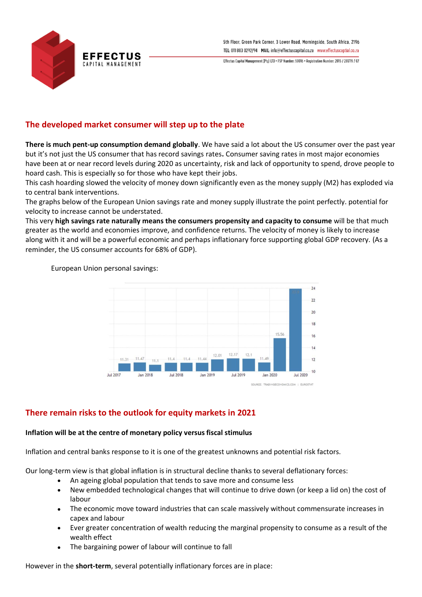

# **The developed market consumer will step up to the plate**

**There is much pent-up consumption demand globally**. We have said a lot about the US consumer over the past year but it's not just the US consumer that has record savings rates**.** Consumer saving rates in most major economies have been at or near record levels during 2020 as uncertainty, risk and lack of opportunity to spend, drove people to hoard cash. This is especially so for those who have kept their jobs.

This cash hoarding slowed the velocity of money down significantly even as the money supply (M2) has exploded via to central bank interventions.

The graphs below of the European Union savings rate and money supply illustrate the point perfectly. potential for velocity to increase cannot be understated.

This very **high savings rate naturally means the consumers propensity and capacity to consume** will be that much greater as the world and economies improve, and confidence returns. The velocity of money is likely to increase along with it and will be a powerful economic and perhaps inflationary force supporting global GDP recovery. (As a reminder, the US consumer accounts for 68% of GDP).

European Union personal savings:



# **There remain risks to the outlook for equity markets in 2021**

#### **Inflation will be at the centre of monetary policy versus fiscal stimulus**

Inflation and central banks response to it is one of the greatest unknowns and potential risk factors.

Our long-term view is that global inflation is in structural decline thanks to several deflationary forces:

- An ageing global population that tends to save more and consume less
- New embedded technological changes that will continue to drive down (or keep a lid on) the cost of labour
- The economic move toward industries that can scale massively without commensurate increases in capex and labour
- Ever greater concentration of wealth reducing the marginal propensity to consume as a result of the wealth effect
- The bargaining power of labour will continue to fall

However in the **short-term**, several potentially inflationary forces are in place: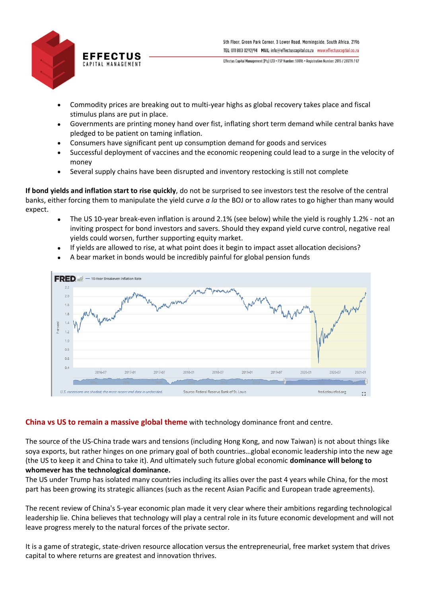

- Commodity prices are breaking out to multi-year highs as global recovery takes place and fiscal stimulus plans are put in place.
- Governments are printing money hand over fist, inflating short term demand while central banks have pledged to be patient on taming inflation.
- Consumers have significant pent up consumption demand for goods and services
- Successful deployment of vaccines and the economic reopening could lead to a surge in the velocity of money
- Several supply chains have been disrupted and inventory restocking is still not complete

**If bond yields and inflation start to rise quickly**, do not be surprised to see investors test the resolve of the central banks, either forcing them to manipulate the yield curve *a la* the BOJ or to allow rates to go higher than many would expect.

- The US 10-year break-even inflation is around 2.1% (see below) while the yield is roughly 1.2% not an inviting prospect for bond investors and savers. Should they expand yield curve control, negative real yields could worsen, further supporting equity market.
- If yields are allowed to rise, at what point does it begin to impact asset allocation decisions?
- A bear market in bonds would be incredibly painful for global pension funds



### **China vs US to remain a massive global theme** with technology dominance front and centre.

The source of the US-China trade wars and tensions (including Hong Kong, and now Taiwan) is not about things like soya exports, but rather hinges on one primary goal of both countries…global economic leadership into the new age (the US to keep it and China to take it). And ultimately such future global economic **dominance will belong to whomever has the technological dominance.** 

The US under Trump has isolated many countries including its allies over the past 4 years while China, for the most part has been growing its strategic alliances (such as the recent Asian Pacific and European trade agreements).

The recent review of China's 5-year economic plan made it very clear where their ambitions regarding technological leadership lie. China believes that technology will play a central role in its future economic development and will not leave progress merely to the natural forces of the private sector.

It is a game of strategic, state-driven resource allocation versus the entrepreneurial, free market system that drives capital to where returns are greatest and innovation thrives.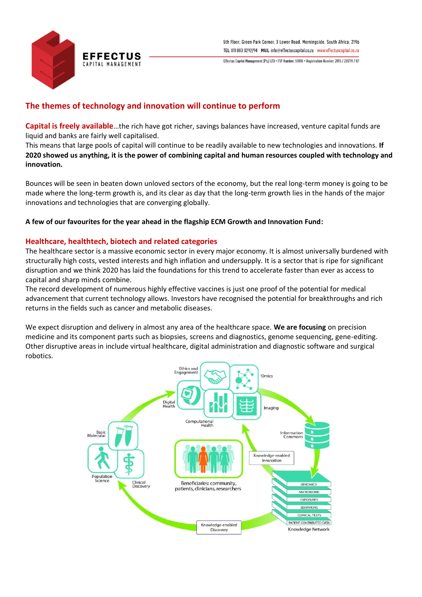

# **The themes of technology and innovation will continue to perform**

**Capital is freely available**…the rich have got richer, savings balances have increased, venture capital funds are liquid and banks are fairly well capitalised.

This means that large pools of capital will continue to be readily available to new technologies and innovations. **If 2020 showed us anything, it is the power of combining capital and human resources coupled with technology and innovation.** 

Bounces will be seen in beaten down unloved sectors of the economy, but the real long-term money is going to be made where the long-term growth is, and its clear as day that the long-term growth lies in the hands of the major innovations and technologies that are converging globally.

**A few of our favourites for the year ahead in the flagship ECM Growth and Innovation Fund:**

### **Healthcare, healthtech, biotech and related categories**

The healthcare sector is a massive economic sector in every major economy. It is almost universally burdened with structurally high costs, vested interests and high inflation and undersupply. It is a sector that is ripe for significant disruption and we think 2020 has laid the foundations for this trend to accelerate faster than ever as access to capital and sharp minds combine.

The record development of numerous highly effective vaccines is just one proof of the potential for medical advancement that current technology allows. Investors have recognised the potential for breakthroughs and rich returns in the fields such as cancer and metabolic diseases.

We expect disruption and delivery in almost any area of the healthcare space. **We are focusing** on precision medicine and its component parts such as biopsies, screens and diagnostics, genome sequencing, gene-editing. Other disruptive areas in include virtual healthcare, digital administration and diagnostic software and surgical robotics.